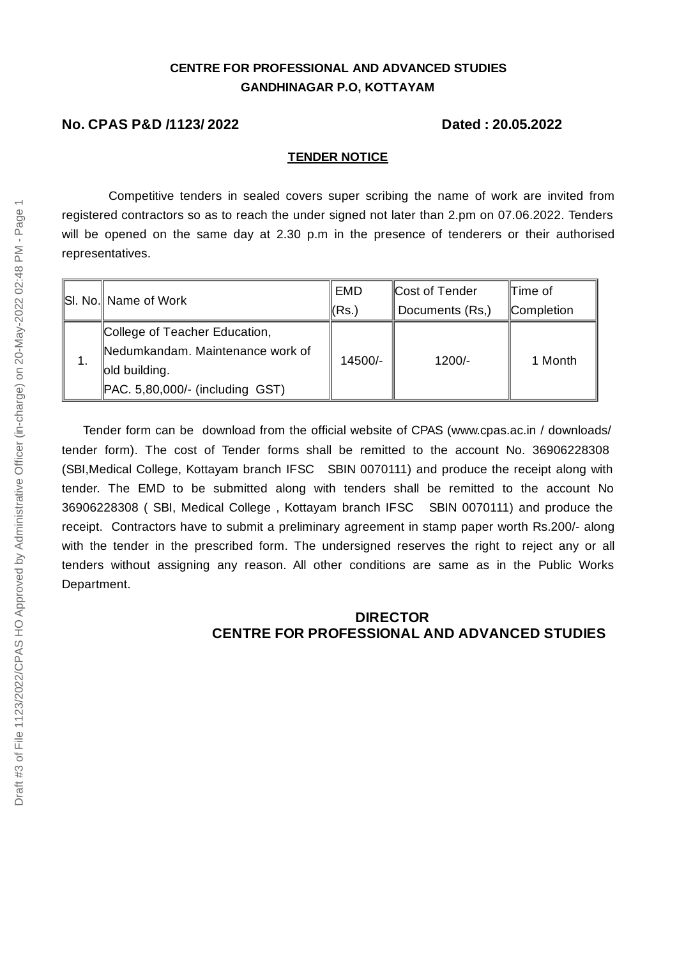## **CENTRE FOR PROFESSIONAL AND ADVANCED STUDIES GANDHINAGAR P.O, KOTTAYAM**

#### **No. CPAS P&D /1123/ 2022 Dated : 20.05.2022**

#### **TENDER NOTICE**

Competitive tenders in sealed covers super scribing the name of work are invited from registered contractors so as to reach the under signed not later than 2.pm on 07.06.2022. Tenders will be opened on the same day at 2.30 p.m in the presence of tenderers or their authorised representatives.

|    | SI. No.   Name of Work             | EMD     | Cost of Tender  | l∏ime of   |
|----|------------------------------------|---------|-----------------|------------|
|    |                                    | (Rs.)   | Documents (Rs.) | Completion |
| 1. | College of Teacher Education,      | 14500/- | $1200/-$        | 1 Month    |
|    | Nedumkandam. Maintenance work of   |         |                 |            |
|    | old building.                      |         |                 |            |
|    | $PAC. 5,80,000/$ - (including GST) |         |                 |            |

Tender form can be download from the official website of CPAS (www.cpas.ac.in / downloads/ tender form). The cost of Tender forms shall be remitted to the account No. 36906228308 (SBI,Medical College, Kottayam branch IFSC SBIN 0070111) and produce the receipt along with tender. The EMD to be submitted along with tenders shall be remitted to the account No 36906228308 ( SBI, Medical College , Kottayam branch IFSC SBIN 0070111) and produce the receipt. Contractors have to submit a preliminary agreement in stamp paper worth Rs.200/- along with the tender in the prescribed form. The undersigned reserves the right to reject any or all tenders without assigning any reason. All other conditions are same as in the Public Works Department.

#### **DIRECTOR CENTRE FOR PROFESSIONAL AND ADVANCED STUDIES**